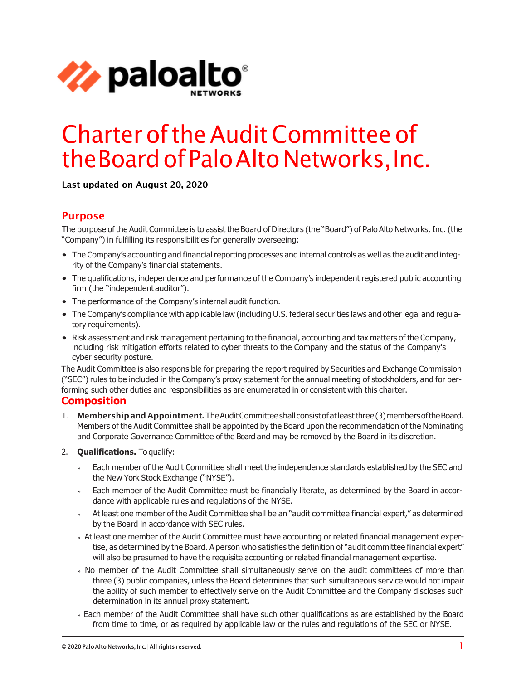

# CharteroftheAuditCommittee of theBoard of Palo Alto Networks, Inc.

Last updated on August 20, 2020

## Purpose

The purpose of the Audit Committee is to assist the Board of Directors (the "Board") of Palo Alto Networks, Inc. (the "Company") in fulfilling its responsibilities for generally overseeing:

- The Company's accounting and financial reporting processes and internal controls as well as the audit and integrity of the Company's financial statements.
- The qualifications, independence and performance of the Company's independent registered public accounting firm (the "independent auditor").
- The performance of the Company's internal audit function.
- The Company's compliance with applicable law (including U.S. federal securities laws and other legal and regulatory requirements).
- Risk assessment and risk management pertaining to the financial, accounting and tax matters of the Company, including risk mitigation efforts related to cyber threats to the Company and the status of the Company's cyber security posture.

The Audit Committee is also responsible for preparing the report required by Securities and Exchange Commission ("SEC") rules to be included in the Company's proxy statement for the annual meeting of stockholders, and for performing such other duties and responsibilities as are enumerated in or consistent with this charter.

### **Composition**

- 1. Membership and Appointment. The Audit Committee shall consist of at least three (3) members of the Board. Members of the Audit Committee shall be appointed by the Board upon the recommendation of the Nominating and Corporate Governance Committee of the Board and may be removed by the Board in its discretion.
- 2. **Qualifications.** To qualify:
	- » Each member of the Audit Committee shall meet the independence standards established by the SEC and the New York Stock Exchange ("NYSE").
	- » Each member of the Audit Committee must be financially literate, as determined by the Board in accordance with applicable rules and regulations of the NYSE.
	- » At least one member of the Audit Committee shall be an "audit committee financial expert," as determined by the Board in accordance with SEC rules.
	- » At least one member of the Audit Committee must have accounting or related financial management expertise, as determined by the Board. A person who satisfies the definition of "audit committee financial expert" will also be presumed to have the requisite accounting or related financial management expertise.
	- » No member of the Audit Committee shall simultaneously serve on the audit committees of more than three (3) public companies, unless the Board determines that such simultaneous service would not impair the ability of such member to effectively serve on the Audit Committee and the Company discloses such determination in its annual proxy statement.
	- » Each member of the Audit Committee shall have such other qualifications as are established by the Board from time to time, or as required by applicable law or the rules and regulations of the SEC or NYSE.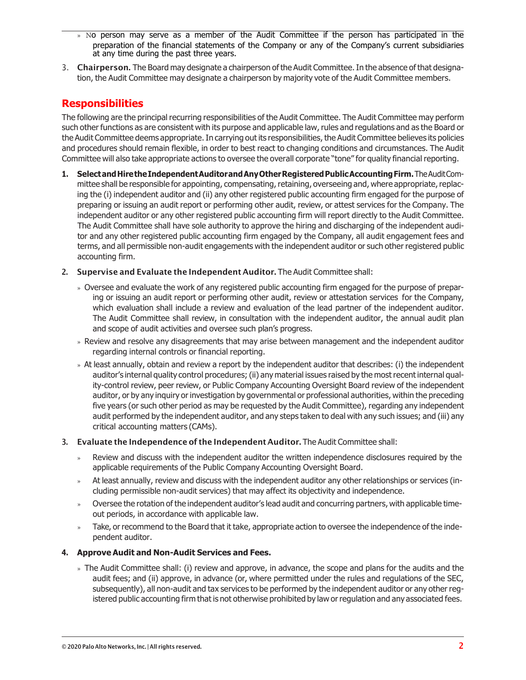- » No person may serve as a member of the Audit Committee if the person has participated in the preparation of the financial statements of the Company or any of the Company's current subsidiaries at any time during the past three years.
- 3. Chairperson. The Board may designate a chairperson of the Audit Committee. In the absence of that designation, the Audit Committee may designate a chairperson by majority vote of the Audit Committee members.

## **Responsibilities**

The following are the principal recurring responsibilities of the Audit Committee. The Audit Committee may perform such other functions as are consistent with its purpose and applicable law, rules and regulations and as the Board or the Audit Committee deems appropriate.In carrying out its responsibilities, the Audit Committee believes its policies and procedures should remain flexible, in order to best react to changing conditions and circumstances. The Audit Committee will also take appropriate actions to oversee the overall corporate "tone" for quality financial reporting.

- 1. Selectand Hirethe Independent Auditor and Any Other Registered Public Accounting Firm. The AuditCommittee shall be responsible for appointing, compensating, retaining, overseeing and, where appropriate, replacing the (i) independent auditor and (ii) any other registered public accounting firm engaged for the purpose of preparing or issuing an audit report or performing other audit, review, or attest services for the Company. The independent auditor or any other registered public accounting firm will report directly to the Audit Committee. The Audit Committee shall have sole authority to approve the hiring and discharging of the independent auditor and any other registered public accounting firm engaged by the Company, all audit engagement fees and terms, and all permissible non-audit engagements with the independent auditor or such other registered public accounting firm.
- 2. Supervise and Evaluate the Independent Auditor. The Audit Committee shall:
	- » Oversee and evaluate the work of any registered public accounting firm engaged for the purpose of preparing or issuing an audit report or performing other audit, review or attestation services for the Company, which evaluation shall include a review and evaluation of the lead partner of the independent auditor. The Audit Committee shall review, in consultation with the independent auditor, the annual audit plan and scope of audit activities and oversee such plan's progress.
	- » Review and resolve any disagreements that may arise between management and the independent auditor regarding internal controls or financial reporting.
	- » At least annually, obtain and review a report by the independent auditor that describes: (i) the independent auditor's internal quality control procedures;(ii) any material issues raised by the most recent internal quality-control review, peer review, or Public Company Accounting Oversight Board review of the independent auditor, or by any inquiry or investigation by governmental or professional authorities, within the preceding five years (or such other period as may be requested by the Audit Committee), regarding any independent audit performed by the independent auditor, and any steps taken to deal with any such issues; and (iii) any critical accounting matters (CAMs).
- 3. Evaluate the Independence of the Independent Auditor. The Audit Committee shall:
	- » Review and discuss with the independent auditor the written independence disclosures required by the applicable requirements of the Public Company Accounting Oversight Board.
	- » At least annually, review and discuss with the independent auditor any other relationships or services (including permissible non-audit services) that may affect its objectivity and independence.
	- » Oversee the rotation of the independent auditor's lead audit and concurring partners, with applicable timeout periods, in accordance with applicable law.
	- » Take, or recommend to the Board that it take, appropriate action to oversee the independence of the independent auditor.

### **4. Approve Audit and Non-Audit Services and Fees.**

» The Audit Committee shall: (i) review and approve, in advance, the scope and plans for the audits and the audit fees; and (ii) approve, in advance (or, where permitted under the rules and regulations of the SEC, subsequently), all non-audit and tax services to be performed by the independent auditor or any other registered public accounting firm that is not otherwise prohibited by law orregulation and any associated fees.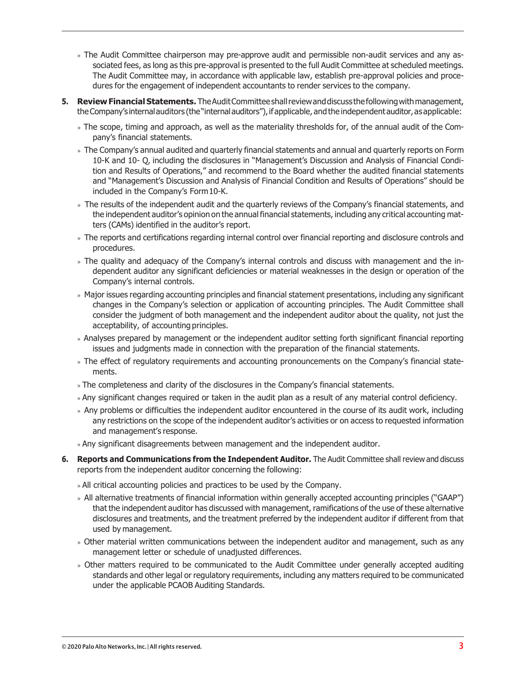- » The Audit Committee chairperson may pre-approve audit and permissible non-audit services and any associated fees, as long as this pre-approval is presented to the full Audit Committee at scheduled meetings. The Audit Committee may, in accordance with applicable law, establish pre-approval policies and procedures for the engagement of independent accountants to render services to the company.
- **5. Review Financial Statements.** TheAuditCommitteeshallreviewanddiscuss thefollowingwithmanagement, the Company's internal auditors (the "internal auditors"), if applicable, and the independent auditor, as applicable:
	- » The scope, timing and approach, as well as the materiality thresholds for, of the annual audit of the Company's financial statements.
	- » The Company's annual audited and quarterly financial statements and annual and quarterly reports on Form 10-K and 10- Q, including the disclosures in "Management's Discussion and Analysis of Financial Condition and Results of Operations," and recommend to the Board whether the audited financial statements and "Management's Discussion and Analysis of Financial Condition and Results of Operations" should be included in the Company's Form10-K.
	- » The results of the independent audit and the quarterly reviews of the Company's financial statements, and the independent auditor's opinion on the annual financial statements, including any critical accounting matters (CAMs) identified in the auditor's report.
	- » The reports and certifications regarding internal control over financial reporting and disclosure controls and procedures.
	- » The quality and adequacy of the Company's internal controls and discuss with management and the independent auditor any significant deficiencies or material weaknesses in the design or operation of the Company's internal controls.
	- » Major issues regarding accounting principles and financial statement presentations, including any significant changes in the Company's selection or application of accounting principles. The Audit Committee shall consider the judgment of both management and the independent auditor about the quality, not just the acceptability, of accounting principles.
	- » Analyses prepared by management or the independent auditor setting forth significant financial reporting issues and judgments made in connection with the preparation of the financial statements.
	- » The effect of regulatory requirements and accounting pronouncements on the Company's financial statements.
	- » The completeness and clarity of the disclosures in the Company's financial statements.
	- » Any significant changes required or taken in the audit plan as a result of any material control deficiency.
	- » Any problems or difficulties the independent auditor encountered in the course of its audit work, including any restrictions on the scope of the independent auditor's activities or on access to requested information and management's response.
	- » Any significant disagreements between management and the independent auditor.
- **6. Reports and Communications from the Independent Auditor.** The Audit Committee shall review and discuss reports from the independent auditor concerning the following:
	- » All critical accounting policies and practices to be used by the Company.
	- » All alternative treatments of financial information within generally accepted accounting principles ("GAAP") that the independent auditor has discussed with management, ramifications of the use of these alternative disclosures and treatments, and the treatment preferred by the independent auditor if different from that used by management.
	- » Other material written communications between the independent auditor and management, such as any management letter or schedule of unadjusted differences.
	- » Other matters required to be communicated to the Audit Committee under generally accepted auditing standards and other legal or regulatory requirements, including any matters required to be communicated under the applicable PCAOB Auditing Standards.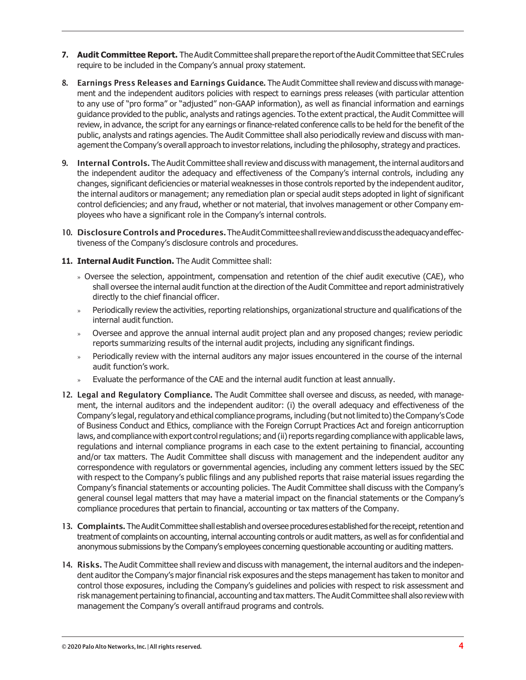- **7.** Audit Committee Report. The Audit Committee shall prepare the report of the Audit Committee that SEC rules require to be included in the Company's annual proxy statement.
- 8. Earnings Press Releases and Earnings Guidance. The Audit Committee shall review and discuss with management and the independent auditors policies with respect to earnings press releases (with particular attention to any use of "pro forma" or "adjusted" non-GAAP information), as well as financial information and earnings guidance provided to the public, analysts and ratings agencies. To the extent practical, the Audit Committee will review, in advance, the script for any earnings or finance-related conference calls to be held for the benefit of the public, analysts and ratings agencies. The Audit Committee shall also periodically review and discuss with management the Company's overall approach to investor relations, including the philosophy, strategy and practices.
- 9. Internal Controls. The Audit Committee shall review and discuss with management, the internal auditors and the independent auditor the adequacy and effectiveness of the Company's internal controls, including any changes, significant deficiencies or material weaknesses in those controls reported by the independent auditor, the internal auditors or management; any remediation plan or special audit steps adopted in light of significant control deficiencies; and any fraud, whether or not material, that involves management or other Company employees who have a significant role in the Company's internal controls.
- 10. Disclosure Controls and Procedures. The Audit Committee shall review and discuss the adequacy and effectiveness of the Company's disclosure controls and procedures.
- **11. Internal Audit Function.** The Audit Committee shall:
	- » Oversee the selection, appointment, compensation and retention of the chief audit executive (CAE), who shall oversee the internal audit function at the direction of the Audit Committee and report administratively directly to the chief financial officer.
	- » Periodically review the activities, reporting relationships, organizational structure and qualifications of the internal audit function.
	- » Oversee and approve the annual internal audit project plan and any proposed changes; review periodic reports summarizing results of the internal audit projects, including any significant findings.
	- » Periodically review with the internal auditors any major issues encountered in the course of the internal audit function's work.
	- » Evaluate the performance of the CAE and the internal audit function at least annually.
- 12. Legal and Regulatory Compliance. The Audit Committee shall oversee and discuss, as needed, with management, the internal auditors and the independent auditor: (i) the overall adequacy and effectiveness of the Company's legal, regulatory and ethical compliance programs, including (but not limited to) the Company's Code of Business Conduct and Ethics, compliance with the Foreign Corrupt Practices Act and foreign anticorruption laws, and compliance with export control regulations; and (ii) reports regarding compliance with applicable laws, regulations and internal compliance programs in each case to the extent pertaining to financial, accounting and/or tax matters. The Audit Committee shall discuss with management and the independent auditor any correspondence with regulators or governmental agencies, including any comment letters issued by the SEC with respect to the Company's public filings and any published reports that raise material issues regarding the Company's financial statements or accounting policies. The Audit Committee shall discuss with the Company's general counsel legal matters that may have a material impact on the financial statements or the Company's compliance procedures that pertain to financial, accounting or tax matters of the Company.
- 13. Complaints. The Audit Committee shall establish and oversee procedures established for the receipt, retention and treatment of complaints on accounting, internal accounting controls or audit matters, as well as for confidential and anonymous submissions by the Company's employees concerning questionable accounting or auditing matters.
- 14. Risks. The Audit Committee shall review and discuss with management, the internal auditors and the independent auditor the Company's major financial risk exposures and the steps management has taken to monitor and control those exposures, including the Company's guidelines and policies with respect to risk assessment and risk management pertaining to financial, accounting and tax matters. The Audit Committee shall also review with management the Company's overall antifraud programs and controls.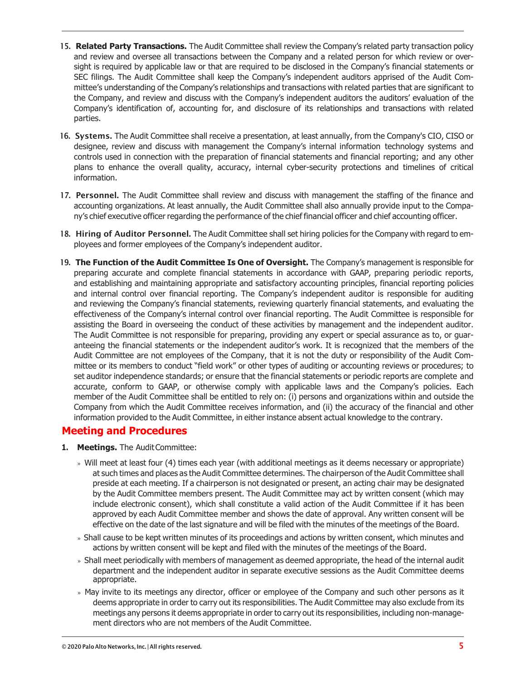- 15. **Related Party Transactions.** The Audit Committee shall review the Company's related party transaction policy and review and oversee all transactions between the Company and a related person for which review or oversight is required by applicable law or that are required to be disclosed in the Company's financial statements or SEC filings. The Audit Committee shall keep the Company's independent auditors apprised of the Audit Committee's understanding of the Company's relationships and transactions with related parties that are significant to the Company, and review and discuss with the Company's independent auditors the auditors' evaluation of the Company's identification of, accounting for, and disclosure of its relationships and transactions with related parties.
- 16. Systems. The Audit Committee shall receive a presentation, at least annually, from the Company's CIO, CISO or designee, review and discuss with management the Company's internal information technology systems and controls used in connection with the preparation of financial statements and financial reporting; and any other plans to enhance the overall quality, accuracy, internal cyber-security protections and timelines of critical information.
- 17. Personnel. The Audit Committee shall review and discuss with management the staffing of the finance and accounting organizations. At least annually, the Audit Committee shall also annually provide input to the Company's chief executive officer regarding the performance of the chief financial officer and chief accounting officer.
- 18. Hiring of Auditor Personnel. The Audit Committee shall set hiring policies for the Company with regard to employees and former employees of the Company's independent auditor.
- 19. **The Function of the Audit Committee Is One of Oversight.** The Company's management is responsible for preparing accurate and complete financial statements in accordance with GAAP, preparing periodic reports, and establishing and maintaining appropriate and satisfactory accounting principles, financial reporting policies and internal control over financial reporting. The Company's independent auditor is responsible for auditing and reviewing the Company's financial statements, reviewing quarterly financial statements, and evaluating the effectiveness of the Company's internal control over financial reporting. The Audit Committee is responsible for assisting the Board in overseeing the conduct of these activities by management and the independent auditor. The Audit Committee is not responsible for preparing, providing any expert or special assurance as to, or guaranteeing the financial statements or the independent auditor's work. It is recognized that the members of the Audit Committee are not employees of the Company, that it is not the duty or responsibility of the Audit Committee or its members to conduct "field work" or other types of auditing or accounting reviews or procedures; to set auditor independence standards; or ensure that the financial statements or periodic reports are complete and accurate, conform to GAAP, or otherwise comply with applicable laws and the Company's policies. Each member of the Audit Committee shall be entitled to rely on: (i) persons and organizations within and outside the Company from which the Audit Committee receives information, and (ii) the accuracy of the financial and other information provided to the Audit Committee, in either instance absent actual knowledge to the contrary.

## **Meeting and Procedures**

- **1. Meetings.** The Audit Committee:
	- » Will meet at least four (4) times each year (with additional meetings as it deems necessary or appropriate) at such times and places as the Audit Committee determines. The chairperson of the Audit Committee shall preside at each meeting. If a chairperson is not designated or present, an acting chair may be designated by the Audit Committee members present. The Audit Committee may act by written consent (which may include electronic consent), which shall constitute a valid action of the Audit Committee if it has been approved by each Audit Committee member and shows the date of approval. Any written consent will be effective on the date of the last signature and will be filed with the minutes of the meetings of the Board.
	- » Shall cause to be kept written minutes of its proceedings and actions by written consent, which minutes and actions by written consent will be kept and filed with the minutes of the meetings of the Board.
	- » Shall meet periodically with members of management as deemed appropriate, the head of the internal audit department and the independent auditor in separate executive sessions as the Audit Committee deems appropriate.
	- » May invite to its meetings any director, officer or employee of the Company and such other persons as it deems appropriate in order to carry out its responsibilities. The Audit Committee may also exclude from its meetings any persons it deems appropriate in order to carry out its responsibilities, including non-management directors who are not members of the Audit Committee.